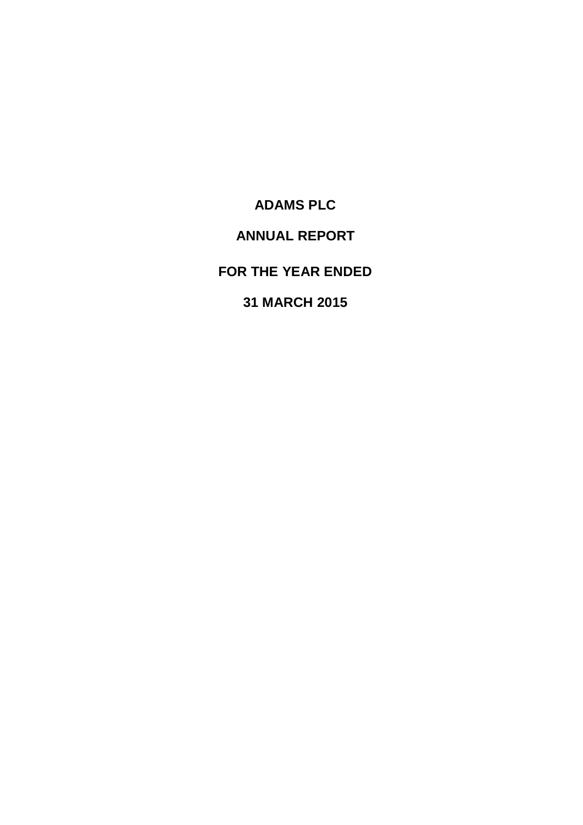**ADAMS PLC ANNUAL REPORT** 

# **FOR THE YEAR ENDED**

**31 MARCH 2015**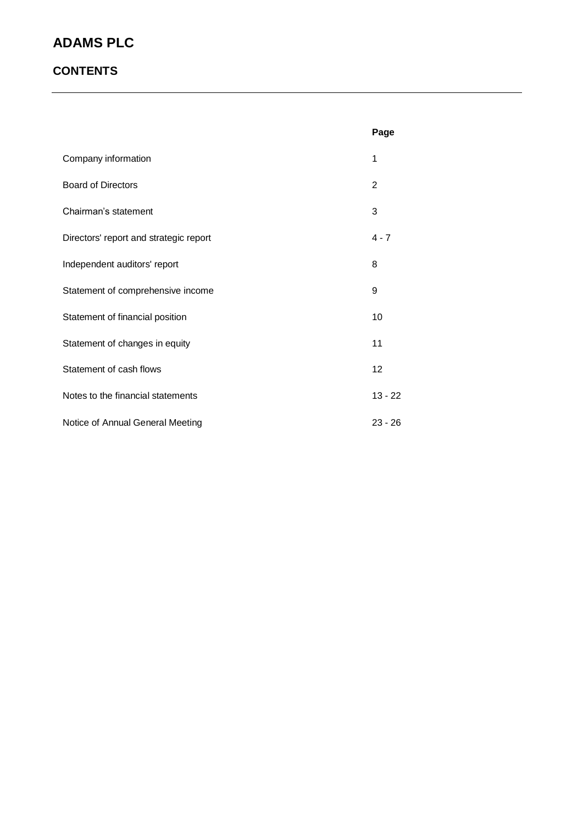### **CONTENTS**

|                                        | Page           |
|----------------------------------------|----------------|
| Company information                    | 1              |
| <b>Board of Directors</b>              | $\overline{2}$ |
| Chairman's statement                   | 3              |
| Directors' report and strategic report | $4 - 7$        |
| Independent auditors' report           | 8              |
| Statement of comprehensive income      | 9              |
| Statement of financial position        | 10             |
| Statement of changes in equity         | 11             |
| Statement of cash flows                | 12             |
| Notes to the financial statements      | $13 - 22$      |
| Notice of Annual General Meeting       | $23 - 26$      |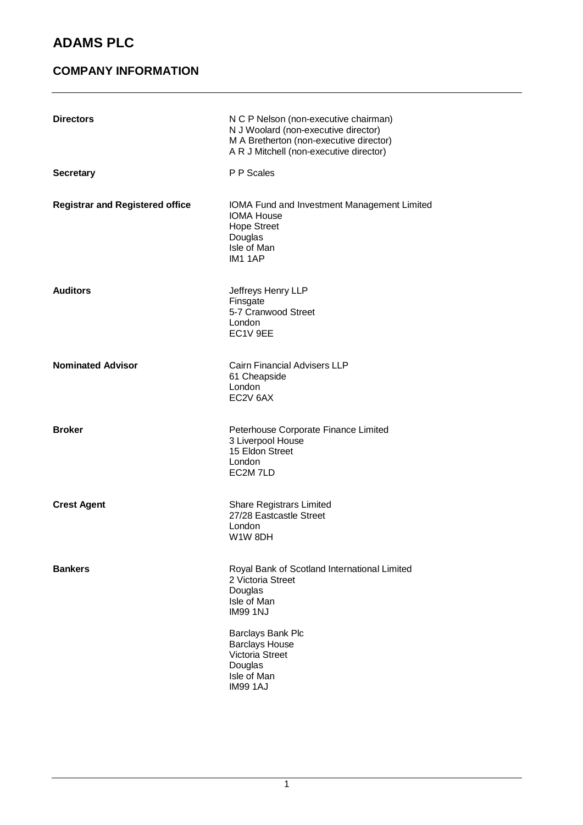### **COMPANY INFORMATION**

| <b>Directors</b>                       | N C P Nelson (non-executive chairman)<br>N J Woolard (non-executive director)<br>M A Bretherton (non-executive director)<br>A R J Mitchell (non-executive director) |
|----------------------------------------|---------------------------------------------------------------------------------------------------------------------------------------------------------------------|
| <b>Secretary</b>                       | P P Scales                                                                                                                                                          |
| <b>Registrar and Registered office</b> | IOMA Fund and Investment Management Limited<br><b>IOMA House</b><br><b>Hope Street</b><br>Douglas<br>Isle of Man<br><b>IM1 1AP</b>                                  |
| <b>Auditors</b>                        | Jeffreys Henry LLP<br>Finsgate<br>5-7 Cranwood Street<br>London<br>EC1V 9EE                                                                                         |
| <b>Nominated Advisor</b>               | <b>Cairn Financial Advisers LLP</b><br>61 Cheapside<br>London<br>EC2V 6AX                                                                                           |
| <b>Broker</b>                          | Peterhouse Corporate Finance Limited<br>3 Liverpool House<br>15 Eldon Street<br>London<br>EC2M 7LD                                                                  |
| <b>Crest Agent</b>                     | <b>Share Registrars Limited</b><br>27/28 Eastcastle Street<br>London<br>W1W 8DH                                                                                     |
| <b>Bankers</b>                         | Royal Bank of Scotland International Limited<br>2 Victoria Street<br>Douglas<br>Isle of Man<br><b>IM99 1NJ</b>                                                      |
|                                        | Barclays Bank Plc<br><b>Barclays House</b><br>Victoria Street<br>Douglas<br>Isle of Man<br><b>IM99 1AJ</b>                                                          |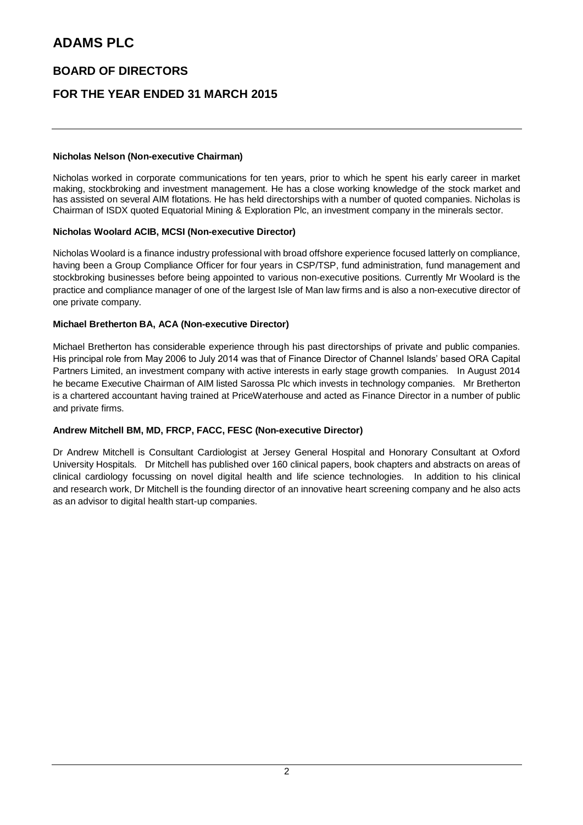### **BOARD OF DIRECTORS**

### **FOR THE YEAR ENDED 31 MARCH 2015**

#### **Nicholas Nelson (Non-executive Chairman)**

Nicholas worked in corporate communications for ten years, prior to which he spent his early career in market making, stockbroking and investment management. He has a close working knowledge of the stock market and has assisted on several AIM flotations. He has held directorships with a number of quoted companies. Nicholas is Chairman of ISDX quoted Equatorial Mining & Exploration Plc, an investment company in the minerals sector.

#### **Nicholas Woolard ACIB, MCSI (Non-executive Director)**

Nicholas Woolard is a finance industry professional with broad offshore experience focused latterly on compliance, having been a Group Compliance Officer for four years in CSP/TSP, fund administration, fund management and stockbroking businesses before being appointed to various non-executive positions. Currently Mr Woolard is the practice and compliance manager of one of the largest Isle of Man law firms and is also a non-executive director of one private company.

#### **Michael Bretherton BA, ACA (Non-executive Director)**

Michael Bretherton has considerable experience through his past directorships of private and public companies. His principal role from May 2006 to July 2014 was that of Finance Director of Channel Islands' based ORA Capital Partners Limited, an investment company with active interests in early stage growth companies. In August 2014 he became Executive Chairman of AIM listed Sarossa Plc which invests in technology companies. Mr Bretherton is a chartered accountant having trained at PriceWaterhouse and acted as Finance Director in a number of public and private firms.

#### **Andrew Mitchell BM, MD, FRCP, FACC, FESC (Non-executive Director)**

Dr Andrew Mitchell is Consultant Cardiologist at Jersey General Hospital and Honorary Consultant at Oxford University Hospitals. Dr Mitchell has published over 160 clinical papers, book chapters and abstracts on areas of clinical cardiology focussing on novel digital health and life science technologies. In addition to his clinical and research work, Dr Mitchell is the founding director of an innovative heart screening company and he also acts as an advisor to digital health start-up companies.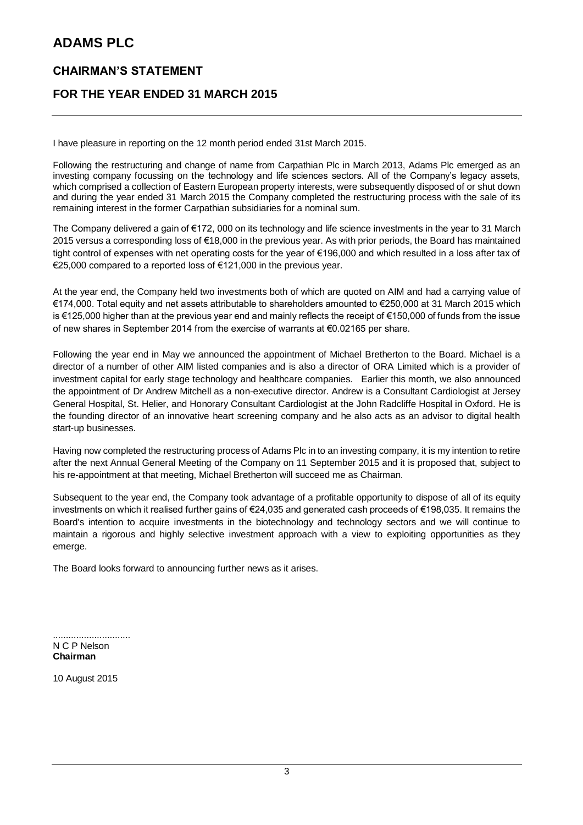### **CHAIRMAN'S STATEMENT**

### **FOR THE YEAR ENDED 31 MARCH 2015**

I have pleasure in reporting on the 12 month period ended 31st March 2015.

Following the restructuring and change of name from Carpathian Plc in March 2013, Adams Plc emerged as an investing company focussing on the technology and life sciences sectors. All of the Company's legacy assets, which comprised a collection of Eastern European property interests, were subsequently disposed of or shut down and during the year ended 31 March 2015 the Company completed the restructuring process with the sale of its remaining interest in the former Carpathian subsidiaries for a nominal sum.

The Company delivered a gain of €172, 000 on its technology and life science investments in the year to 31 March 2015 versus a corresponding loss of €18,000 in the previous year. As with prior periods, the Board has maintained tight control of expenses with net operating costs for the year of €196,000 and which resulted in a loss after tax of €25,000 compared to a reported loss of €121,000 in the previous year.

At the year end, the Company held two investments both of which are quoted on AIM and had a carrying value of €174,000. Total equity and net assets attributable to shareholders amounted to €250,000 at 31 March 2015 which is €125,000 higher than at the previous year end and mainly reflects the receipt of €150,000 of funds from the issue of new shares in September 2014 from the exercise of warrants at €0.02165 per share.

Following the year end in May we announced the appointment of Michael Bretherton to the Board. Michael is a director of a number of other AIM listed companies and is also a director of ORA Limited which is a provider of investment capital for early stage technology and healthcare companies. Earlier this month, we also announced the appointment of Dr Andrew Mitchell as a non-executive director. Andrew is a Consultant Cardiologist at Jersey General Hospital, St. Helier, and Honorary Consultant Cardiologist at the John Radcliffe Hospital in Oxford. He is the founding director of an innovative heart screening company and he also acts as an advisor to digital health start-up businesses.

Having now completed the restructuring process of Adams Plc in to an investing company, it is my intention to retire after the next Annual General Meeting of the Company on 11 September 2015 and it is proposed that, subject to his re-appointment at that meeting, Michael Bretherton will succeed me as Chairman.

Subsequent to the year end, the Company took advantage of a profitable opportunity to dispose of all of its equity investments on which it realised further gains of €24,035 and generated cash proceeds of €198,035. It remains the Board's intention to acquire investments in the biotechnology and technology sectors and we will continue to maintain a rigorous and highly selective investment approach with a view to exploiting opportunities as they emerge.

The Board looks forward to announcing further news as it arises.

.............................. N C P Nelson **Chairman**

10 August 2015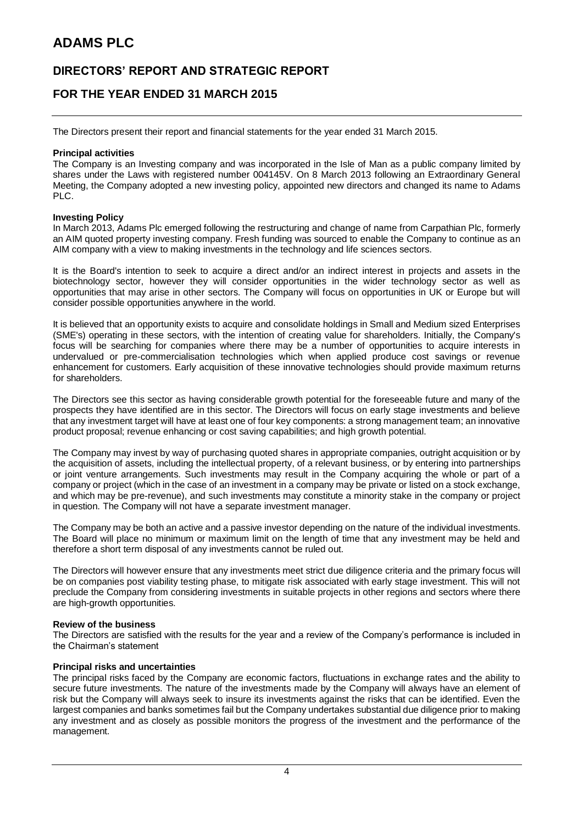### **DIRECTORS' REPORT AND STRATEGIC REPORT**

### **FOR THE YEAR ENDED 31 MARCH 2015**

The Directors present their report and financial statements for the year ended 31 March 2015.

#### **Principal activities**

The Company is an Investing company and was incorporated in the Isle of Man as a public company limited by shares under the Laws with registered number 004145V. On 8 March 2013 following an Extraordinary General Meeting, the Company adopted a new investing policy, appointed new directors and changed its name to Adams PLC.

#### **Investing Policy**

In March 2013, Adams Plc emerged following the restructuring and change of name from Carpathian Plc, formerly an AIM quoted property investing company. Fresh funding was sourced to enable the Company to continue as an AIM company with a view to making investments in the technology and life sciences sectors.

It is the Board's intention to seek to acquire a direct and/or an indirect interest in projects and assets in the biotechnology sector, however they will consider opportunities in the wider technology sector as well as opportunities that may arise in other sectors. The Company will focus on opportunities in UK or Europe but will consider possible opportunities anywhere in the world.

It is believed that an opportunity exists to acquire and consolidate holdings in Small and Medium sized Enterprises (SME's) operating in these sectors, with the intention of creating value for shareholders. Initially, the Company's focus will be searching for companies where there may be a number of opportunities to acquire interests in undervalued or pre-commercialisation technologies which when applied produce cost savings or revenue enhancement for customers. Early acquisition of these innovative technologies should provide maximum returns for shareholders.

The Directors see this sector as having considerable growth potential for the foreseeable future and many of the prospects they have identified are in this sector. The Directors will focus on early stage investments and believe that any investment target will have at least one of four key components: a strong management team; an innovative product proposal; revenue enhancing or cost saving capabilities; and high growth potential.

The Company may invest by way of purchasing quoted shares in appropriate companies, outright acquisition or by the acquisition of assets, including the intellectual property, of a relevant business, or by entering into partnerships or joint venture arrangements. Such investments may result in the Company acquiring the whole or part of a company or project (which in the case of an investment in a company may be private or listed on a stock exchange, and which may be pre-revenue), and such investments may constitute a minority stake in the company or project in question. The Company will not have a separate investment manager.

The Company may be both an active and a passive investor depending on the nature of the individual investments. The Board will place no minimum or maximum limit on the length of time that any investment may be held and therefore a short term disposal of any investments cannot be ruled out.

The Directors will however ensure that any investments meet strict due diligence criteria and the primary focus will be on companies post viability testing phase, to mitigate risk associated with early stage investment. This will not preclude the Company from considering investments in suitable projects in other regions and sectors where there are high-growth opportunities.

#### **Review of the business**

The Directors are satisfied with the results for the year and a review of the Company's performance is included in the Chairman's statement

#### **Principal risks and uncertainties**

The principal risks faced by the Company are economic factors, fluctuations in exchange rates and the ability to secure future investments. The nature of the investments made by the Company will always have an element of risk but the Company will always seek to insure its investments against the risks that can be identified. Even the largest companies and banks sometimes fail but the Company undertakes substantial due diligence prior to making any investment and as closely as possible monitors the progress of the investment and the performance of the management.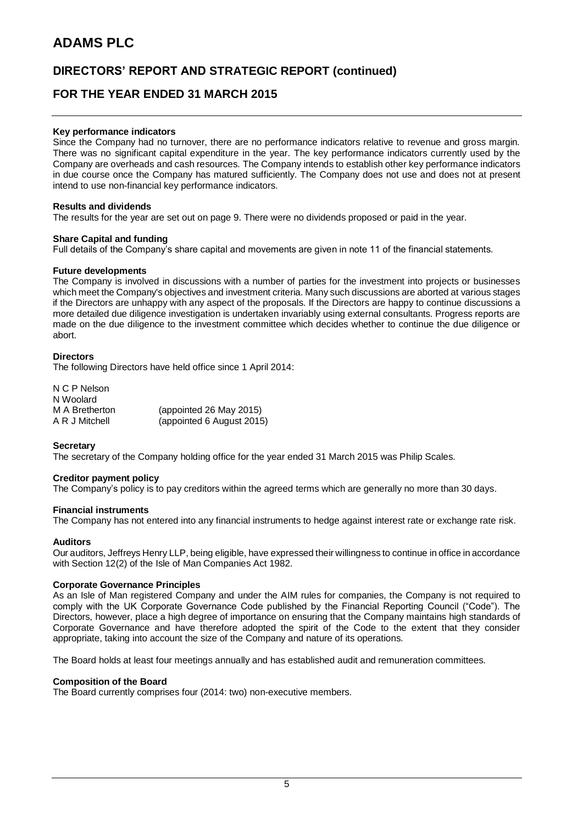### **DIRECTORS' REPORT AND STRATEGIC REPORT (continued)**

### **FOR THE YEAR ENDED 31 MARCH 2015**

#### **Key performance indicators**

Since the Company had no turnover, there are no performance indicators relative to revenue and gross margin. There was no significant capital expenditure in the year. The key performance indicators currently used by the Company are overheads and cash resources. The Company intends to establish other key performance indicators in due course once the Company has matured sufficiently. The Company does not use and does not at present intend to use non-financial key performance indicators.

#### **Results and dividends**

The results for the year are set out on page [9.](#page-10-0) There were no dividends proposed or paid in the year.

#### **Share Capital and funding**

Full details of the Company's share capital and movements are given in note 11 of the financial statements.

#### **Future developments**

The Company is involved in discussions with a number of parties for the investment into projects or businesses which meet the Company's objectives and investment criteria. Many such discussions are aborted at various stages if the Directors are unhappy with any aspect of the proposals. If the Directors are happy to continue discussions a more detailed due diligence investigation is undertaken invariably using external consultants. Progress reports are made on the due diligence to the investment committee which decides whether to continue the due diligence or abort.

#### **Directors**

The following Directors have held office since 1 April 2014:

| N C P Nelson   |                           |
|----------------|---------------------------|
| N Woolard      |                           |
| M A Bretherton | (appointed 26 May 2015)   |
| A R J Mitchell | (appointed 6 August 2015) |

#### **Secretary**

The secretary of the Company holding office for the year ended 31 March 2015 was Philip Scales.

#### **Creditor payment policy**

The Company's policy is to pay creditors within the agreed terms which are generally no more than 30 days.

#### **Financial instruments**

The Company has not entered into any financial instruments to hedge against interest rate or exchange rate risk.

#### **Auditors**

Our auditors, Jeffreys Henry LLP, being eligible, have expressed their willingness to continue in office in accordance with Section 12(2) of the Isle of Man Companies Act 1982.

#### **Corporate Governance Principles**

As an Isle of Man registered Company and under the AIM rules for companies, the Company is not required to comply with the UK Corporate Governance Code published by the Financial Reporting Council ("Code"). The Directors, however, place a high degree of importance on ensuring that the Company maintains high standards of Corporate Governance and have therefore adopted the spirit of the Code to the extent that they consider appropriate, taking into account the size of the Company and nature of its operations.

The Board holds at least four meetings annually and has established audit and remuneration committees.

#### **Composition of the Board**

The Board currently comprises four (2014: two) non-executive members.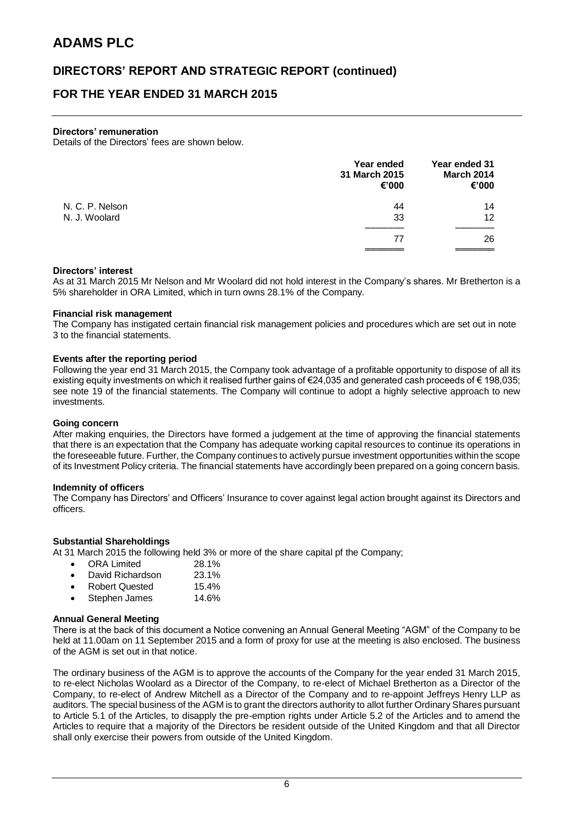### **DIRECTORS' REPORT AND STRATEGIC REPORT (continued)**

### **FOR THE YEAR ENDED 31 MARCH 2015**

#### **Directors' remuneration**

Details of the Directors' fees are shown below.

|                 | Year ended<br>31 March 2015<br>€'000 | Year ended 31<br><b>March 2014</b><br>€'000 |
|-----------------|--------------------------------------|---------------------------------------------|
| N. C. P. Nelson | 44                                   | 14                                          |
| N. J. Woolard   | 33                                   | 12                                          |
|                 | 77                                   | 26                                          |
|                 |                                      |                                             |

#### **Directors' interest**

As at 31 March 2015 Mr Nelson and Mr Woolard did not hold interest in the Company's shares. Mr Bretherton is a 5% shareholder in ORA Limited, which in turn owns 28.1% of the Company.

#### **Financial risk management**

The Company has instigated certain financial risk management policies and procedures which are set out in note 3 to the financial statements.

#### **Events after the reporting period**

Following the year end 31 March 2015, the Company took advantage of a profitable opportunity to dispose of all its existing equity investments on which it realised further gains of €24,035 and generated cash proceeds of €198,035; see note 19 of the financial statements. The Company will continue to adopt a highly selective approach to new investments.

#### **Going concern**

After making enquiries, the Directors have formed a judgement at the time of approving the financial statements that there is an expectation that the Company has adequate working capital resources to continue its operations in the foreseeable future. Further, the Company continues to actively pursue investment opportunities within the scope of its Investment Policy criteria. The financial statements have accordingly been prepared on a going concern basis.

#### **Indemnity of officers**

The Company has Directors' and Officers' Insurance to cover against legal action brought against its Directors and officers.

#### **Substantial Shareholdings**

At 31 March 2015 the following held 3% or more of the share capital pf the Company;

| <b>ORA Limited</b> | 28.1% |
|--------------------|-------|
| David Richardson   | 23.1% |

- Robert Quested 15.4%
- Stephen James 14.6%

#### **Annual General Meeting**

There is at the back of this document a Notice convening an Annual General Meeting "AGM" of the Company to be held at 11.00am on 11 September 2015 and a form of proxy for use at the meeting is also enclosed. The business of the AGM is set out in that notice.

The ordinary business of the AGM is to approve the accounts of the Company for the year ended 31 March 2015, to re-elect Nicholas Woolard as a Director of the Company, to re-elect of Michael Bretherton as a Director of the Company, to re-elect of Andrew Mitchell as a Director of the Company and to re-appoint Jeffreys Henry LLP as auditors. The special business of the AGM is to grant the directors authority to allot further Ordinary Shares pursuant to Article 5.1 of the Articles, to disapply the pre-emption rights under Article 5.2 of the Articles and to amend the Articles to require that a majority of the Directors be resident outside of the United Kingdom and that all Director shall only exercise their powers from outside of the United Kingdom.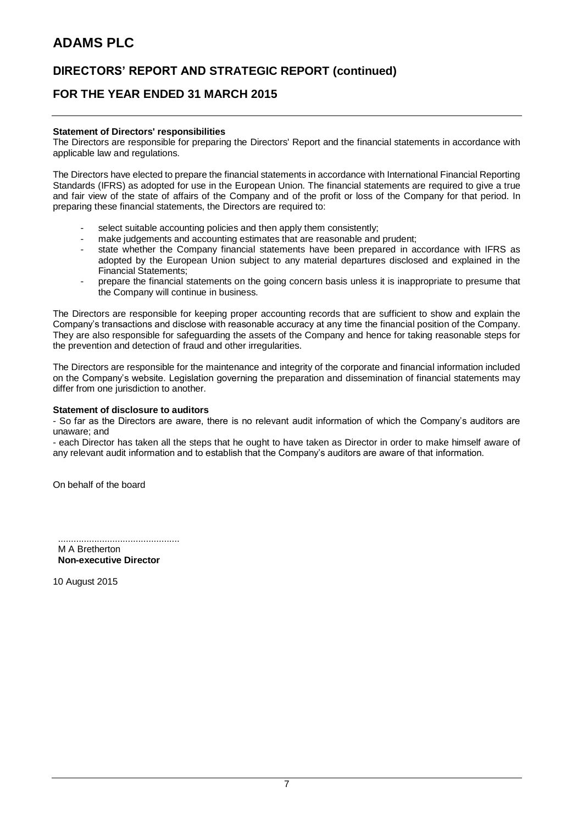## **DIRECTORS' REPORT AND STRATEGIC REPORT (continued)**

### **FOR THE YEAR ENDED 31 MARCH 2015**

#### **Statement of Directors' responsibilities**

The Directors are responsible for preparing the Directors' Report and the financial statements in accordance with applicable law and regulations.

The Directors have elected to prepare the financial statements in accordance with International Financial Reporting Standards (IFRS) as adopted for use in the European Union. The financial statements are required to give a true and fair view of the state of affairs of the Company and of the profit or loss of the Company for that period. In preparing these financial statements, the Directors are required to:

- select suitable accounting policies and then apply them consistently;
- make judgements and accounting estimates that are reasonable and prudent;
- state whether the Company financial statements have been prepared in accordance with IFRS as adopted by the European Union subject to any material departures disclosed and explained in the Financial Statements;
- prepare the financial statements on the going concern basis unless it is inappropriate to presume that the Company will continue in business.

The Directors are responsible for keeping proper accounting records that are sufficient to show and explain the Company's transactions and disclose with reasonable accuracy at any time the financial position of the Company. They are also responsible for safeguarding the assets of the Company and hence for taking reasonable steps for the prevention and detection of fraud and other irregularities.

The Directors are responsible for the maintenance and integrity of the corporate and financial information included on the Company's website. Legislation governing the preparation and dissemination of financial statements may differ from one jurisdiction to another.

#### **Statement of disclosure to auditors**

- So far as the Directors are aware, there is no relevant audit information of which the Company's auditors are unaware; and

- each Director has taken all the steps that he ought to have taken as Director in order to make himself aware of any relevant audit information and to establish that the Company's auditors are aware of that information.

On behalf of the board

............................................... M A Bretherton **Non-executive Director**

10 August 2015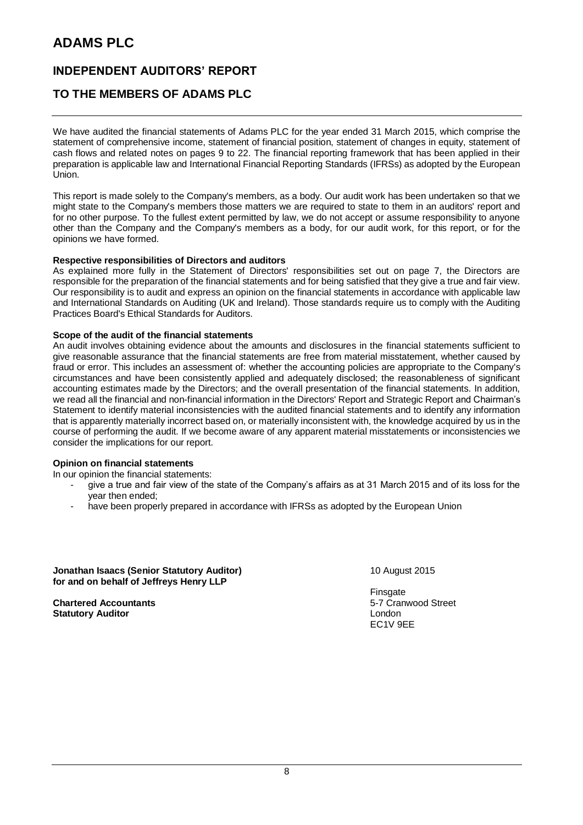### **INDEPENDENT AUDITORS' REPORT**

### **TO THE MEMBERS OF ADAMS PLC**

We have audited the financial statements of Adams PLC for the year ended 31 March 2015, which comprise the statement of comprehensive income, statement of financial position, statement of changes in equity, statement of cash flows and related notes on pages 9 to 22. The financial reporting framework that has been applied in their preparation is applicable law and International Financial Reporting Standards (IFRSs) as adopted by the European Union.

This report is made solely to the Company's members, as a body. Our audit work has been undertaken so that we might state to the Company's members those matters we are required to state to them in an auditors' report and for no other purpose. To the fullest extent permitted by law, we do not accept or assume responsibility to anyone other than the Company and the Company's members as a body, for our audit work, for this report, or for the opinions we have formed.

#### **Respective responsibilities of Directors and auditors**

As explained more fully in the Statement of Directors' responsibilities set out on page 7, the Directors are responsible for the preparation of the financial statements and for being satisfied that they give a true and fair view. Our responsibility is to audit and express an opinion on the financial statements in accordance with applicable law and International Standards on Auditing (UK and Ireland). Those standards require us to comply with the Auditing Practices Board's Ethical Standards for Auditors.

#### **Scope of the audit of the financial statements**

An audit involves obtaining evidence about the amounts and disclosures in the financial statements sufficient to give reasonable assurance that the financial statements are free from material misstatement, whether caused by fraud or error. This includes an assessment of: whether the accounting policies are appropriate to the Company's circumstances and have been consistently applied and adequately disclosed; the reasonableness of significant accounting estimates made by the Directors; and the overall presentation of the financial statements. In addition, we read all the financial and non-financial information in the Directors' Report and Strategic Report and Chairman's Statement to identify material inconsistencies with the audited financial statements and to identify any information that is apparently materially incorrect based on, or materially inconsistent with, the knowledge acquired by us in the course of performing the audit. If we become aware of any apparent material misstatements or inconsistencies we consider the implications for our report.

#### **Opinion on financial statements**

In our opinion the financial statements:

- give a true and fair view of the state of the Company's affairs as at 31 March 2015 and of its loss for the year then ended;
- have been properly prepared in accordance with IFRSs as adopted by the European Union

**Jonathan Isaacs (Senior Statutory Auditor)** 10 August 2015 **for and on behalf of Jeffreys Henry LLP**

**Chartered Accountants** 5-7 Cranwood Street **Statutory Auditor Community Community Community Community Community Community Community Community Community Community Community Community Community Community Community Community Community Community Community Community C** 

Finsgate EC1V 9EE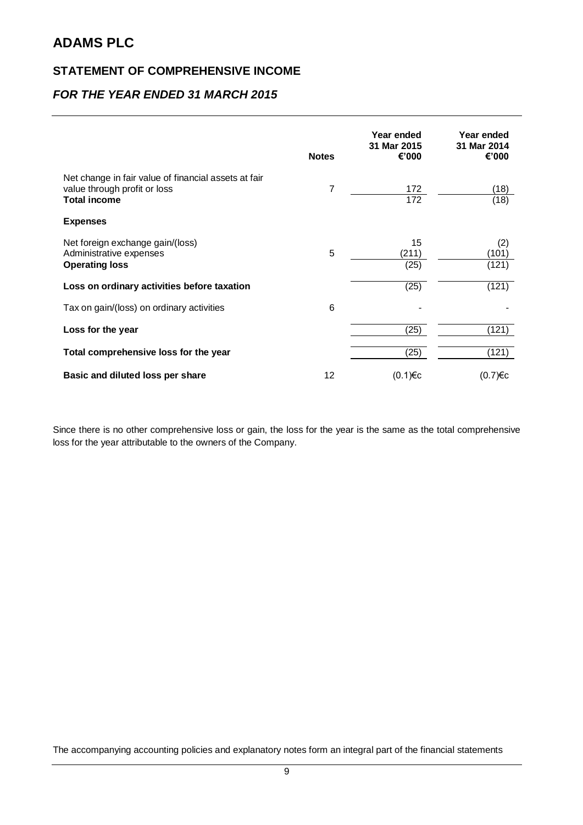### **STATEMENT OF COMPREHENSIVE INCOME**

### *FOR THE YEAR ENDED 31 MARCH 2015*

|                                                                                                             |              | Year ended           | Year ended            |
|-------------------------------------------------------------------------------------------------------------|--------------|----------------------|-----------------------|
|                                                                                                             | <b>Notes</b> | 31 Mar 2015<br>€'000 | 31 Mar 2014<br>€'000  |
| Net change in fair value of financial assets at fair<br>value through profit or loss<br><b>Total income</b> | 7            | 172<br>172           | (18)<br>(18)          |
| <b>Expenses</b>                                                                                             |              |                      |                       |
| Net foreign exchange gain/(loss)<br>Administrative expenses<br><b>Operating loss</b>                        | 5            | 15<br>(211)<br>(25)  | (2)<br>(101)<br>(121) |
| Loss on ordinary activities before taxation                                                                 |              | (25)                 | (121)                 |
| Tax on gain/(loss) on ordinary activities                                                                   | 6            |                      |                       |
| Loss for the year                                                                                           |              | (25)                 | (121)                 |
| Total comprehensive loss for the year                                                                       |              | (25)                 | (121)                 |
| Basic and diluted loss per share                                                                            | 12           | (0.1)€c              | $(0.7)$ $\epsilon$ c  |

<span id="page-10-0"></span>Since there is no other comprehensive loss or gain, the loss for the year is the same as the total comprehensive loss for the year attributable to the owners of the Company.

The accompanying accounting policies and explanatory notes form an integral part of the financial statements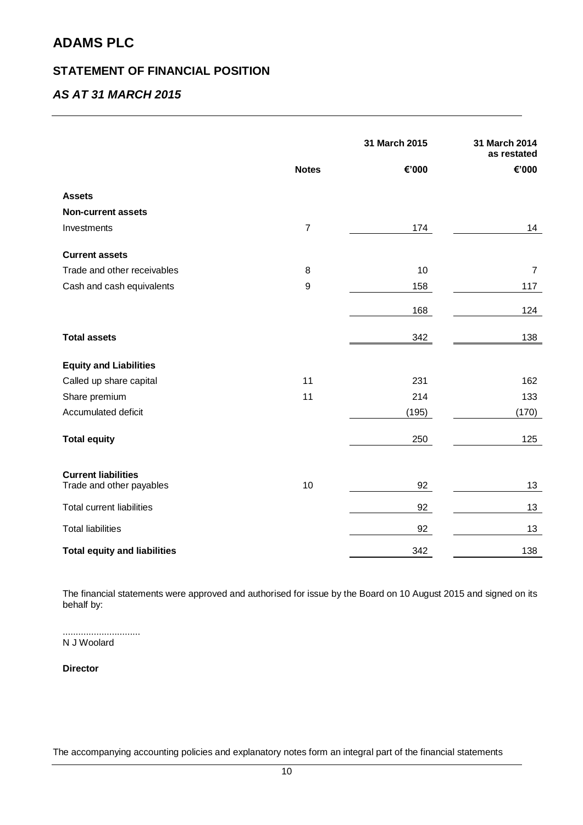### **STATEMENT OF FINANCIAL POSITION**

### *AS AT 31 MARCH 2015*

|                                     |                  | 31 March 2015 | 31 March 2014<br>as restated |
|-------------------------------------|------------------|---------------|------------------------------|
|                                     | <b>Notes</b>     | €'000         | €'000                        |
| <b>Assets</b>                       |                  |               |                              |
| <b>Non-current assets</b>           |                  |               |                              |
| Investments                         | $\overline{7}$   | 174           | 14                           |
| <b>Current assets</b>               |                  |               |                              |
| Trade and other receivables         | 8                | 10            | $\overline{7}$               |
| Cash and cash equivalents           | $\boldsymbol{9}$ | 158           | 117                          |
|                                     |                  | 168           | 124                          |
| <b>Total assets</b>                 |                  | 342           | 138                          |
| <b>Equity and Liabilities</b>       |                  |               |                              |
| Called up share capital             | 11               | 231           | 162                          |
| Share premium                       | 11               | 214           | 133                          |
| Accumulated deficit                 |                  | (195)         | (170)                        |
| <b>Total equity</b>                 |                  | 250           | 125                          |
| <b>Current liabilities</b>          |                  |               |                              |
| Trade and other payables            | 10               | 92            | 13                           |
| <b>Total current liabilities</b>    |                  | 92            | 13                           |
| <b>Total liabilities</b>            |                  | 92            | 13                           |
| <b>Total equity and liabilities</b> |                  | 342           | 138                          |

The financial statements were approved and authorised for issue by the Board on 10 August 2015 and signed on its behalf by:

.............................. N J Woolard

**Director**

The accompanying accounting policies and explanatory notes form an integral part of the financial statements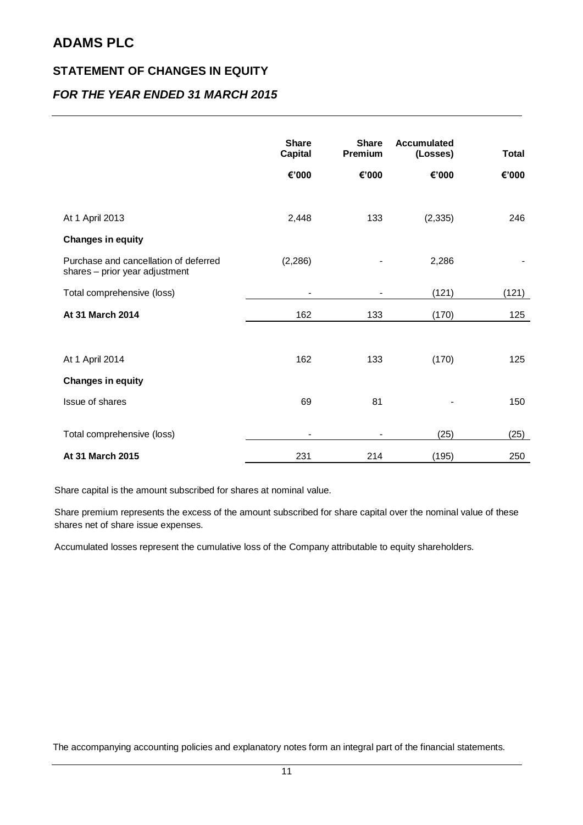### **STATEMENT OF CHANGES IN EQUITY**

### *FOR THE YEAR ENDED 31 MARCH 2015*

|                                                                         | <b>Share</b><br><b>Capital</b> | <b>Share</b><br>Premium  | <b>Accumulated</b><br>(Losses) | <b>Total</b> |
|-------------------------------------------------------------------------|--------------------------------|--------------------------|--------------------------------|--------------|
|                                                                         | €'000                          | €'000                    | €'000                          | €'000        |
|                                                                         |                                |                          |                                |              |
| At 1 April 2013                                                         | 2,448                          | 133                      | (2, 335)                       | 246          |
| <b>Changes in equity</b>                                                |                                |                          |                                |              |
| Purchase and cancellation of deferred<br>shares - prior year adjustment | (2, 286)                       | $\overline{\phantom{a}}$ | 2,286                          |              |
| Total comprehensive (loss)                                              |                                |                          | (121)                          | (121)        |
| At 31 March 2014                                                        | 162                            | 133                      | (170)                          | 125          |
|                                                                         |                                |                          |                                |              |
| At 1 April 2014                                                         | 162                            | 133                      | (170)                          | 125          |
| <b>Changes in equity</b>                                                |                                |                          |                                |              |
| Issue of shares                                                         | 69                             | 81                       |                                | 150          |
| Total comprehensive (loss)                                              |                                |                          | (25)                           | (25)         |
| At 31 March 2015                                                        | 231                            | 214                      | (195)                          | 250          |

Share capital is the amount subscribed for shares at nominal value.

Share premium represents the excess of the amount subscribed for share capital over the nominal value of these shares net of share issue expenses.

Accumulated losses represent the cumulative loss of the Company attributable to equity shareholders.

The accompanying accounting policies and explanatory notes form an integral part of the financial statements.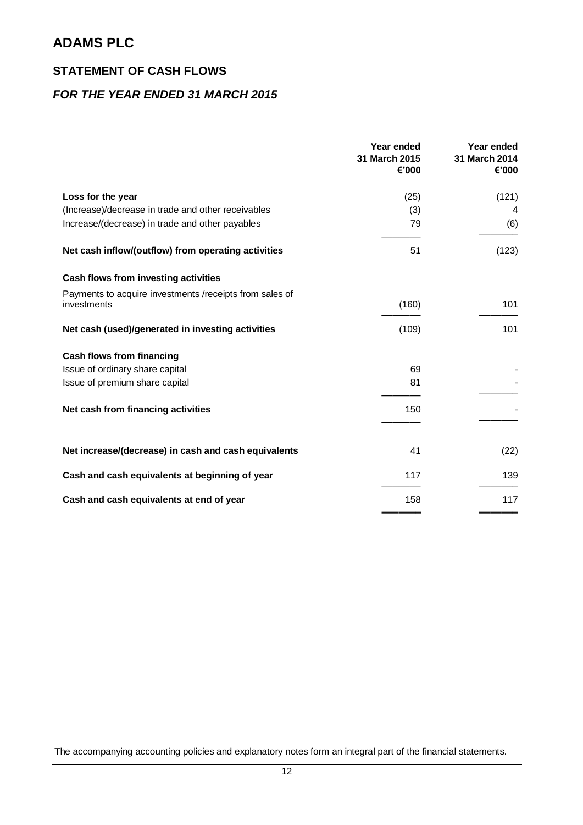# **STATEMENT OF CASH FLOWS**

### *FOR THE YEAR ENDED 31 MARCH 2015*

|                                                                                                       | Year ended<br>31 March 2015<br>€'000 | Year ended<br>31 March 2014<br>€'000 |
|-------------------------------------------------------------------------------------------------------|--------------------------------------|--------------------------------------|
| Loss for the year                                                                                     | (25)                                 | (121)                                |
| (Increase)/decrease in trade and other receivables<br>Increase/(decrease) in trade and other payables | (3)<br>79                            | 4<br>(6)                             |
| Net cash inflow/(outflow) from operating activities                                                   | 51                                   | (123)                                |
| Cash flows from investing activities                                                                  |                                      |                                      |
| Payments to acquire investments /receipts from sales of<br>investments                                | (160)                                | 101                                  |
| Net cash (used)/generated in investing activities                                                     | (109)                                | 101                                  |
| <b>Cash flows from financing</b>                                                                      |                                      |                                      |
| Issue of ordinary share capital                                                                       | 69                                   |                                      |
| Issue of premium share capital                                                                        | 81                                   |                                      |
| Net cash from financing activities                                                                    | 150                                  |                                      |
| Net increase/(decrease) in cash and cash equivalents                                                  | 41                                   | (22)                                 |
| Cash and cash equivalents at beginning of year                                                        | 117                                  | 139                                  |
| Cash and cash equivalents at end of year                                                              | 158                                  | 117                                  |
|                                                                                                       |                                      |                                      |

The accompanying accounting policies and explanatory notes form an integral part of the financial statements.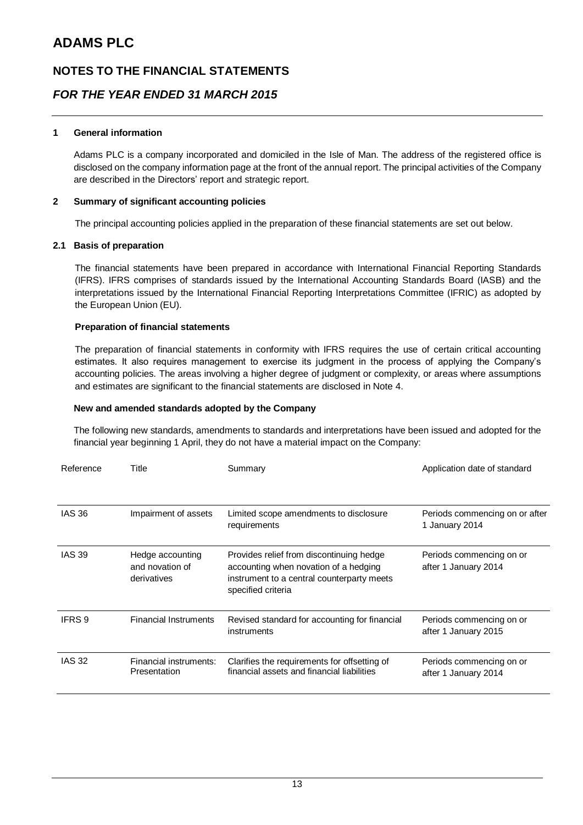### **NOTES TO THE FINANCIAL STATEMENTS**

### *FOR THE YEAR ENDED 31 MARCH 2015*

#### **1 General information**

Adams PLC is a company incorporated and domiciled in the Isle of Man. The address of the registered office is disclosed on the company information page at the front of the annual report. The principal activities of the Company are described in the Directors' report and strategic report.

#### **2 Summary of significant accounting policies**

The principal accounting policies applied in the preparation of these financial statements are set out below.

#### **2.1 Basis of preparation**

The financial statements have been prepared in accordance with International Financial Reporting Standards (IFRS). IFRS comprises of standards issued by the International Accounting Standards Board (IASB) and the interpretations issued by the International Financial Reporting Interpretations Committee (IFRIC) as adopted by the European Union (EU).

#### **Preparation of financial statements**

The preparation of financial statements in conformity with IFRS requires the use of certain critical accounting estimates. It also requires management to exercise its judgment in the process of applying the Company's accounting policies. The areas involving a higher degree of judgment or complexity, or areas where assumptions and estimates are significant to the financial statements are disclosed in Note 4.

#### **New and amended standards adopted by the Company**

The following new standards, amendments to standards and interpretations have been issued and adopted for the financial year beginning 1 April, they do not have a material impact on the Company:

| Reference     | Title                                              | Summary                                                                                                                                               | Application date of standard                     |
|---------------|----------------------------------------------------|-------------------------------------------------------------------------------------------------------------------------------------------------------|--------------------------------------------------|
|               |                                                    |                                                                                                                                                       |                                                  |
| <b>IAS 36</b> | Impairment of assets                               | Limited scope amendments to disclosure<br>requirements                                                                                                | Periods commencing on or after<br>1 January 2014 |
| <b>IAS 39</b> | Hedge accounting<br>and novation of<br>derivatives | Provides relief from discontinuing hedge<br>accounting when novation of a hedging<br>instrument to a central counterparty meets<br>specified criteria | Periods commencing on or<br>after 1 January 2014 |
| <b>IFRS 9</b> | <b>Financial Instruments</b>                       | Revised standard for accounting for financial<br>instruments                                                                                          | Periods commencing on or<br>after 1 January 2015 |
| <b>IAS 32</b> | Financial instruments:<br>Presentation             | Clarifies the requirements for offsetting of<br>financial assets and financial liabilities                                                            | Periods commencing on or<br>after 1 January 2014 |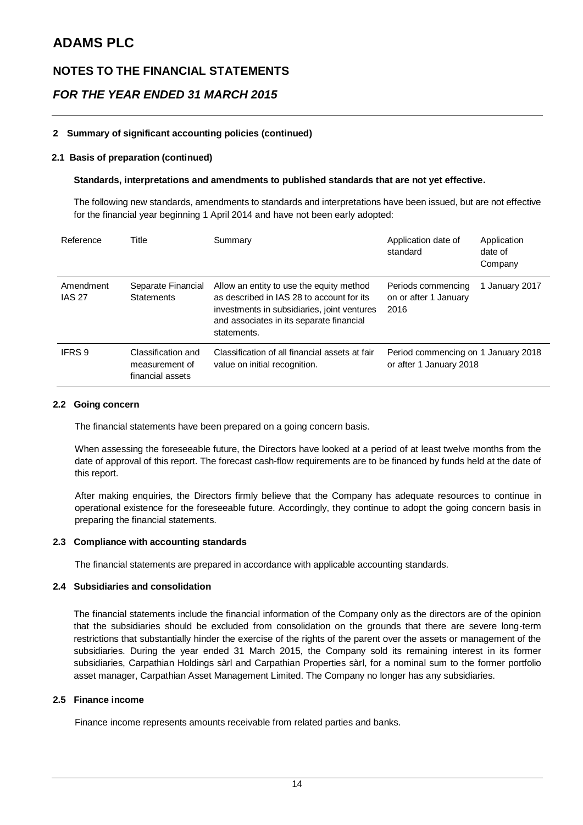### **NOTES TO THE FINANCIAL STATEMENTS**

## *FOR THE YEAR ENDED 31 MARCH 2015*

#### **2 Summary of significant accounting policies (continued)**

#### **2.1 Basis of preparation (continued)**

#### **Standards, interpretations and amendments to published standards that are not yet effective.**

The following new standards, amendments to standards and interpretations have been issued, but are not effective for the financial year beginning 1 April 2014 and have not been early adopted:

| Reference                  | Title                                                    | Summary                                                                                                                                                                                         | Application date of<br>standard                                | Application<br>date of<br>Company |
|----------------------------|----------------------------------------------------------|-------------------------------------------------------------------------------------------------------------------------------------------------------------------------------------------------|----------------------------------------------------------------|-----------------------------------|
| Amendment<br><b>IAS 27</b> | Separate Financial<br><b>Statements</b>                  | Allow an entity to use the equity method<br>as described in IAS 28 to account for its<br>investments in subsidiaries, joint ventures<br>and associates in its separate financial<br>statements. | Periods commencing<br>on or after 1 January<br>2016            | 1 January 2017                    |
| IFRS 9                     | Classification and<br>measurement of<br>financial assets | Classification of all financial assets at fair<br>value on initial recognition.                                                                                                                 | Period commencing on 1 January 2018<br>or after 1 January 2018 |                                   |

#### **2.2 Going concern**

The financial statements have been prepared on a going concern basis.

When assessing the foreseeable future, the Directors have looked at a period of at least twelve months from the date of approval of this report. The forecast cash-flow requirements are to be financed by funds held at the date of this report.

After making enquiries, the Directors firmly believe that the Company has adequate resources to continue in operational existence for the foreseeable future. Accordingly, they continue to adopt the going concern basis in preparing the financial statements.

#### **2.3 Compliance with accounting standards**

The financial statements are prepared in accordance with applicable accounting standards.

#### **2.4 Subsidiaries and consolidation**

The financial statements include the financial information of the Company only as the directors are of the opinion that the subsidiaries should be excluded from consolidation on the grounds that there are severe long-term restrictions that substantially hinder the exercise of the rights of the parent over the assets or management of the subsidiaries. During the year ended 31 March 2015, the Company sold its remaining interest in its former subsidiaries, Carpathian Holdings sàrl and Carpathian Properties sàrl, for a nominal sum to the former portfolio asset manager, Carpathian Asset Management Limited. The Company no longer has any subsidiaries.

#### **2.5 Finance income**

Finance income represents amounts receivable from related parties and banks.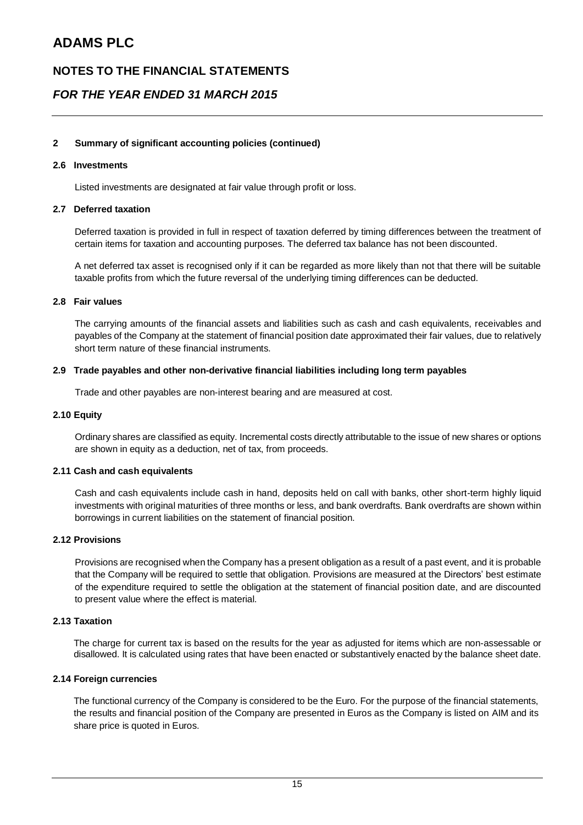### **NOTES TO THE FINANCIAL STATEMENTS**

### *FOR THE YEAR ENDED 31 MARCH 2015*

#### **2 Summary of significant accounting policies (continued)**

#### **2.6 Investments**

Listed investments are designated at fair value through profit or loss.

#### **2.7 Deferred taxation**

Deferred taxation is provided in full in respect of taxation deferred by timing differences between the treatment of certain items for taxation and accounting purposes. The deferred tax balance has not been discounted.

A net deferred tax asset is recognised only if it can be regarded as more likely than not that there will be suitable taxable profits from which the future reversal of the underlying timing differences can be deducted.

#### **2.8 Fair values**

The carrying amounts of the financial assets and liabilities such as cash and cash equivalents, receivables and payables of the Company at the statement of financial position date approximated their fair values, due to relatively short term nature of these financial instruments.

#### **2.9 Trade payables and other non-derivative financial liabilities including long term payables**

Trade and other payables are non-interest bearing and are measured at cost.

#### **2.10 Equity**

Ordinary shares are classified as equity. Incremental costs directly attributable to the issue of new shares or options are shown in equity as a deduction, net of tax, from proceeds.

#### **2.11 Cash and cash equivalents**

Cash and cash equivalents include cash in hand, deposits held on call with banks, other short-term highly liquid investments with original maturities of three months or less, and bank overdrafts. Bank overdrafts are shown within borrowings in current liabilities on the statement of financial position.

#### **2.12 Provisions**

Provisions are recognised when the Company has a present obligation as a result of a past event, and it is probable that the Company will be required to settle that obligation. Provisions are measured at the Directors' best estimate of the expenditure required to settle the obligation at the statement of financial position date, and are discounted to present value where the effect is material.

#### **2.13 Taxation**

The charge for current tax is based on the results for the year as adjusted for items which are non-assessable or disallowed. It is calculated using rates that have been enacted or substantively enacted by the balance sheet date.

#### **2.14 Foreign currencies**

The functional currency of the Company is considered to be the Euro. For the purpose of the financial statements, the results and financial position of the Company are presented in Euros as the Company is listed on AIM and its share price is quoted in Euros.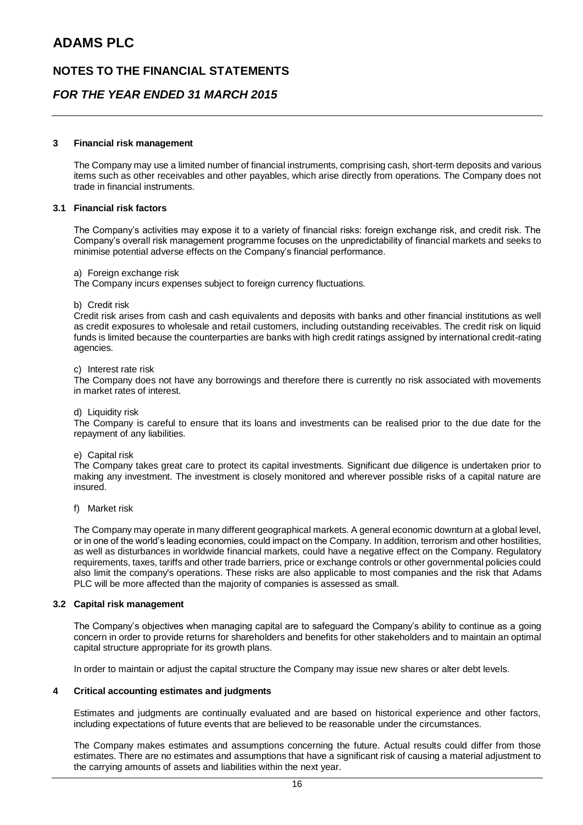### **NOTES TO THE FINANCIAL STATEMENTS**

### *FOR THE YEAR ENDED 31 MARCH 2015*

#### **3 Financial risk management**

The Company may use a limited number of financial instruments, comprising cash, short-term deposits and various items such as other receivables and other payables, which arise directly from operations. The Company does not trade in financial instruments.

#### **3.1 Financial risk factors**

The Company's activities may expose it to a variety of financial risks: foreign exchange risk, and credit risk. The Company's overall risk management programme focuses on the unpredictability of financial markets and seeks to minimise potential adverse effects on the Company's financial performance.

a) Foreign exchange risk

The Company incurs expenses subject to foreign currency fluctuations.

b) Credit risk

Credit risk arises from cash and cash equivalents and deposits with banks and other financial institutions as well as credit exposures to wholesale and retail customers, including outstanding receivables. The credit risk on liquid funds is limited because the counterparties are banks with high credit ratings assigned by international credit-rating agencies.

#### c) Interest rate risk

The Company does not have any borrowings and therefore there is currently no risk associated with movements in market rates of interest.

d) Liquidity risk

The Company is careful to ensure that its loans and investments can be realised prior to the due date for the repayment of any liabilities.

#### e) Capital risk

The Company takes great care to protect its capital investments. Significant due diligence is undertaken prior to making any investment. The investment is closely monitored and wherever possible risks of a capital nature are insured.

f) Market risk

The Company may operate in many different geographical markets. A general economic downturn at a global level, or in one of the world's leading economies, could impact on the Company. In addition, terrorism and other hostilities, as well as disturbances in worldwide financial markets, could have a negative effect on the Company. Regulatory requirements, taxes, tariffs and other trade barriers, price or exchange controls or other governmental policies could also limit the company's operations. These risks are also applicable to most companies and the risk that Adams PLC will be more affected than the majority of companies is assessed as small.

#### **3.2 Capital risk management**

The Company's objectives when managing capital are to safeguard the Company's ability to continue as a going concern in order to provide returns for shareholders and benefits for other stakeholders and to maintain an optimal capital structure appropriate for its growth plans.

In order to maintain or adjust the capital structure the Company may issue new shares or alter debt levels.

#### **4 Critical accounting estimates and judgments**

Estimates and judgments are continually evaluated and are based on historical experience and other factors, including expectations of future events that are believed to be reasonable under the circumstances.

The Company makes estimates and assumptions concerning the future. Actual results could differ from those estimates. There are no estimates and assumptions that have a significant risk of causing a material adjustment to the carrying amounts of assets and liabilities within the next year.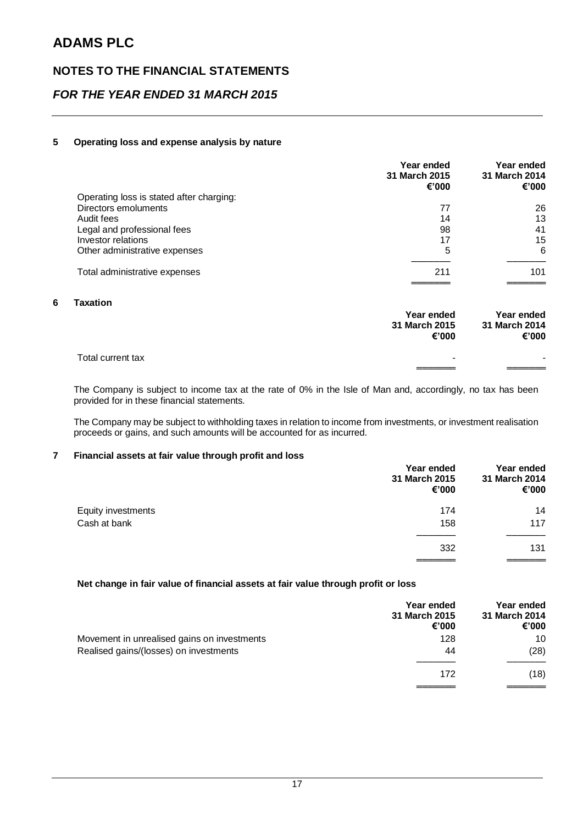### **NOTES TO THE FINANCIAL STATEMENTS**

### *FOR THE YEAR ENDED 31 MARCH 2015*

#### **5 Operating loss and expense analysis by nature**

|                                          | Year ended<br>31 March 2015<br>€'000 | Year ended<br>31 March 2014<br>€'000 |
|------------------------------------------|--------------------------------------|--------------------------------------|
| Operating loss is stated after charging: |                                      |                                      |
| Directors emoluments                     | 77                                   | 26                                   |
| Audit fees                               | 14                                   | 13                                   |
| Legal and professional fees              | 98                                   | 41                                   |
| Investor relations                       | 17                                   | 15                                   |
| Other administrative expenses            | 5                                    | 6                                    |
| Total administrative expenses            | 211                                  | 101                                  |
| 6<br>Taxation                            |                                      |                                      |
|                                          | Year ended<br>31 March 2015<br>€'000 | Year ended<br>31 March 2014<br>€'000 |
| Total current tax                        |                                      |                                      |

The Company is subject to income tax at the rate of 0% in the Isle of Man and, accordingly, no tax has been provided for in these financial statements.

The Company may be subject to withholding taxes in relation to income from investments, or investment realisation proceeds or gains, and such amounts will be accounted for as incurred.

#### **7 Financial assets at fair value through profit and loss**

|                    | Year ended<br>31 March 2015<br>€'000 | Year ended<br>31 March 2014<br>€'000 |
|--------------------|--------------------------------------|--------------------------------------|
| Equity investments | 174                                  | 14                                   |
| Cash at bank       | 158                                  | 117                                  |
|                    |                                      |                                      |
|                    | 332                                  | 131                                  |
|                    |                                      |                                      |

#### **Net change in fair value of financial assets at fair value through profit or loss**

|                                             | Year ended<br>31 March 2015<br>€'000 | Year ended<br>31 March 2014<br>€'000 |
|---------------------------------------------|--------------------------------------|--------------------------------------|
| Movement in unrealised gains on investments | 128                                  | 10                                   |
| Realised gains/(losses) on investments      | 44                                   | (28)                                 |
|                                             | 172                                  | (18)                                 |
|                                             |                                      |                                      |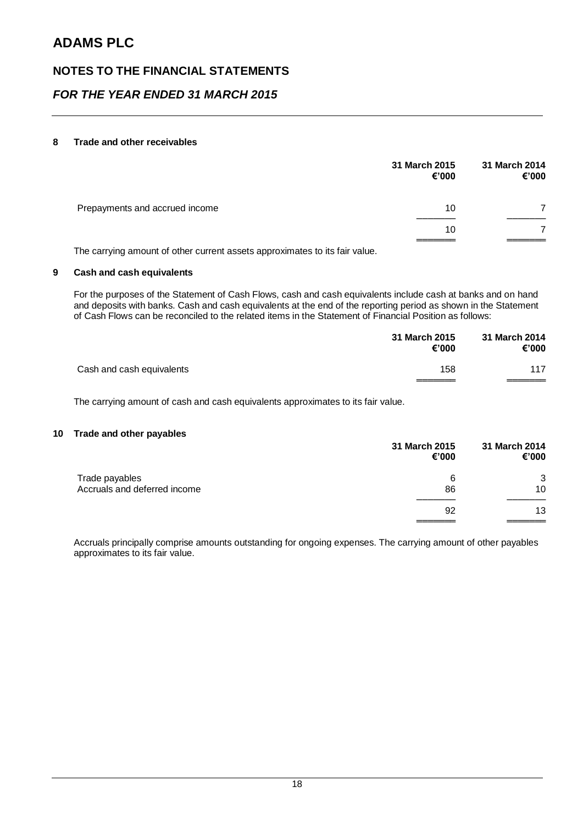### **NOTES TO THE FINANCIAL STATEMENTS**

### *FOR THE YEAR ENDED 31 MARCH 2015*

#### **8 Trade and other receivables**

|                                | 31 March 2015<br>€'000 | 31 March 2014<br>€'000 |
|--------------------------------|------------------------|------------------------|
| Prepayments and accrued income | 10                     | $\overline{ }$         |
|                                | 10                     |                        |
|                                |                        |                        |

The carrying amount of other current assets approximates to its fair value.

#### **9 Cash and cash equivalents**

For the purposes of the Statement of Cash Flows, cash and cash equivalents include cash at banks and on hand and deposits with banks. Cash and cash equivalents at the end of the reporting period as shown in the Statement of Cash Flows can be reconciled to the related items in the Statement of Financial Position as follows:

|                           | 31 March 2015<br>€'000 | 31 March 2014<br>€'000 |
|---------------------------|------------------------|------------------------|
| Cash and cash equivalents | 158                    | 117                    |

The carrying amount of cash and cash equivalents approximates to its fair value.

#### **10 Trade and other payables**

|                              | 31 March 2015<br>€'000 | 31 March 2014<br>€'000 |
|------------------------------|------------------------|------------------------|
| Trade payables               | 6                      | 3                      |
| Accruals and deferred income | 86                     | 10                     |
|                              |                        |                        |
|                              | 92                     | 13                     |
|                              |                        |                        |

Accruals principally comprise amounts outstanding for ongoing expenses. The carrying amount of other payables approximates to its fair value.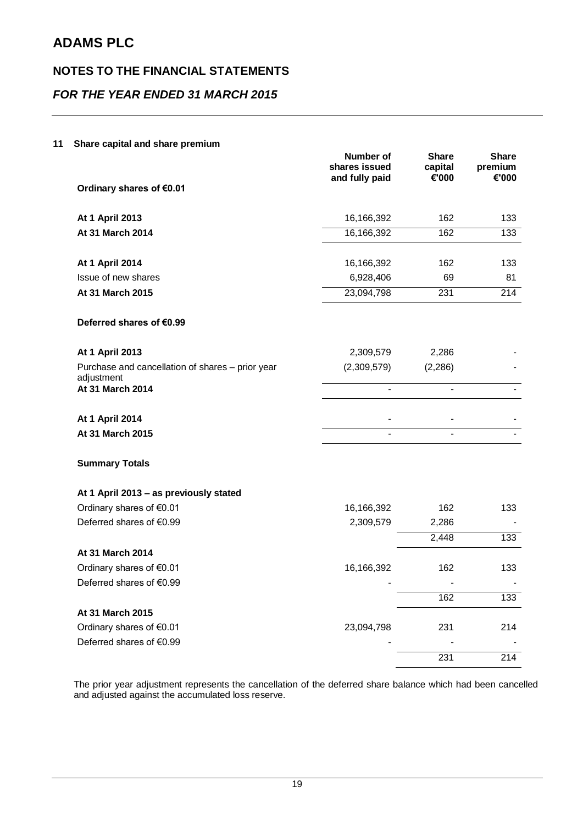# **NOTES TO THE FINANCIAL STATEMENTS**

### *FOR THE YEAR ENDED 31 MARCH 2015*

#### **11 Share capital and share premium**

|                                                                | Number of<br>shares issued<br>and fully paid | <b>Share</b><br>capital<br>€'000 | <b>Share</b><br>premium<br>€'000 |
|----------------------------------------------------------------|----------------------------------------------|----------------------------------|----------------------------------|
| Ordinary shares of €0.01                                       |                                              |                                  |                                  |
| At 1 April 2013                                                | 16,166,392                                   | 162                              | 133                              |
| At 31 March 2014                                               | 16,166,392                                   | 162                              | 133                              |
| <b>At 1 April 2014</b>                                         | 16,166,392                                   | 162                              | 133                              |
| Issue of new shares                                            | 6,928,406                                    | 69                               | 81                               |
| At 31 March 2015                                               | 23,094,798                                   | 231                              | 214                              |
| Deferred shares of €0.99                                       |                                              |                                  |                                  |
| At 1 April 2013                                                | 2,309,579                                    | 2,286                            |                                  |
| Purchase and cancellation of shares - prior year<br>adjustment | (2,309,579)                                  | (2, 286)                         |                                  |
| At 31 March 2014                                               | $\overline{\phantom{a}}$                     | $\overline{a}$                   |                                  |
| At 1 April 2014                                                |                                              |                                  |                                  |
| At 31 March 2015                                               |                                              |                                  |                                  |
| <b>Summary Totals</b>                                          |                                              |                                  |                                  |
| At 1 April 2013 - as previously stated                         |                                              |                                  |                                  |
| Ordinary shares of €0.01                                       | 16,166,392                                   | 162                              | 133                              |
| Deferred shares of €0.99                                       | 2,309,579                                    | 2,286                            |                                  |
|                                                                |                                              | 2,448                            | 133                              |
| At 31 March 2014                                               |                                              |                                  |                                  |
| Ordinary shares of €0.01                                       | 16,166,392                                   | 162                              | 133                              |
| Deferred shares of €0.99                                       |                                              |                                  |                                  |
|                                                                |                                              | 162                              | 133                              |
| At 31 March 2015                                               |                                              |                                  |                                  |
| Ordinary shares of €0.01                                       | 23,094,798                                   | 231                              | 214                              |
| Deferred shares of €0.99                                       |                                              |                                  |                                  |
|                                                                |                                              | 231                              | 214                              |

The prior year adjustment represents the cancellation of the deferred share balance which had been cancelled and adjusted against the accumulated loss reserve.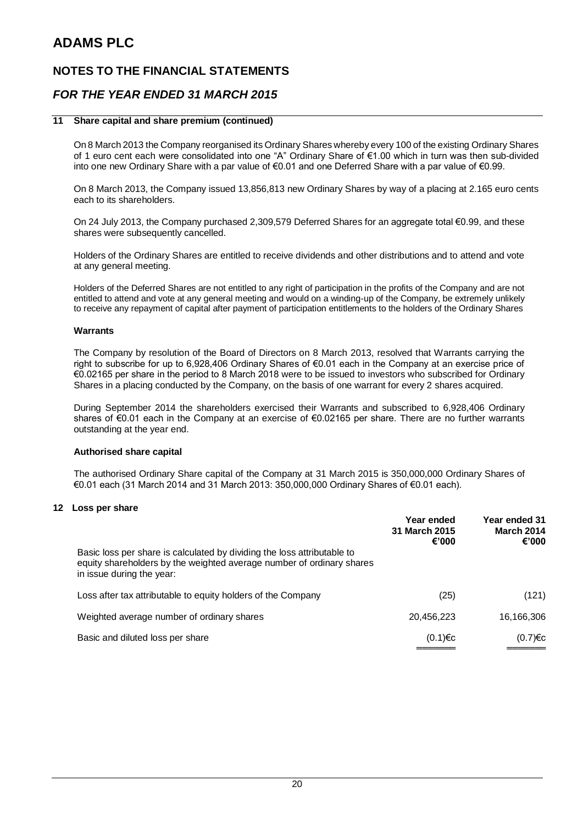### **NOTES TO THE FINANCIAL STATEMENTS**

### *FOR THE YEAR ENDED 31 MARCH 2015*

#### **11 Share capital and share premium (continued)**

On 8 March 2013 the Company reorganised its Ordinary Shares whereby every 100 of the existing Ordinary Shares of 1 euro cent each were consolidated into one "A" Ordinary Share of €1.00 which in turn was then sub-divided into one new Ordinary Share with a par value of €0.01 and one Deferred Share with a par value of €0.99.

On 8 March 2013, the Company issued 13,856,813 new Ordinary Shares by way of a placing at 2.165 euro cents each to its shareholders.

On 24 July 2013, the Company purchased 2,309,579 Deferred Shares for an aggregate total €0.99, and these shares were subsequently cancelled.

Holders of the Ordinary Shares are entitled to receive dividends and other distributions and to attend and vote at any general meeting.

Holders of the Deferred Shares are not entitled to any right of participation in the profits of the Company and are not entitled to attend and vote at any general meeting and would on a winding-up of the Company, be extremely unlikely to receive any repayment of capital after payment of participation entitlements to the holders of the Ordinary Shares

#### **Warrants**

The Company by resolution of the Board of Directors on 8 March 2013, resolved that Warrants carrying the right to subscribe for up to 6,928,406 Ordinary Shares of €0.01 each in the Company at an exercise price of €0.02165 per share in the period to 8 March 2018 were to be issued to investors who subscribed for Ordinary Shares in a placing conducted by the Company, on the basis of one warrant for every 2 shares acquired.

During September 2014 the shareholders exercised their Warrants and subscribed to 6,928,406 Ordinary shares of  $\epsilon$ 0.01 each in the Company at an exercise of  $\epsilon$ 0.02165 per share. There are no further warrants outstanding at the year end.

#### **Authorised share capital**

The authorised Ordinary Share capital of the Company at 31 March 2015 is 350,000,000 Ordinary Shares of €0.01 each (31 March 2014 and 31 March 2013: 350,000,000 Ordinary Shares of €0.01 each).

#### **12 Loss per share**

|                                                                                                                                                                               | Year ended<br>31 March 2015<br>€'000 | Year ended 31<br><b>March 2014</b><br>€'000 |
|-------------------------------------------------------------------------------------------------------------------------------------------------------------------------------|--------------------------------------|---------------------------------------------|
| Basic loss per share is calculated by dividing the loss attributable to<br>equity shareholders by the weighted average number of ordinary shares<br>in issue during the year: |                                      |                                             |
| Loss after tax attributable to equity holders of the Company                                                                                                                  | (25)                                 | (121)                                       |
| Weighted average number of ordinary shares                                                                                                                                    | 20,456,223                           | 16,166,306                                  |
| Basic and diluted loss per share                                                                                                                                              | (0.1)€c                              | $(0.7)$ $\in$ c                             |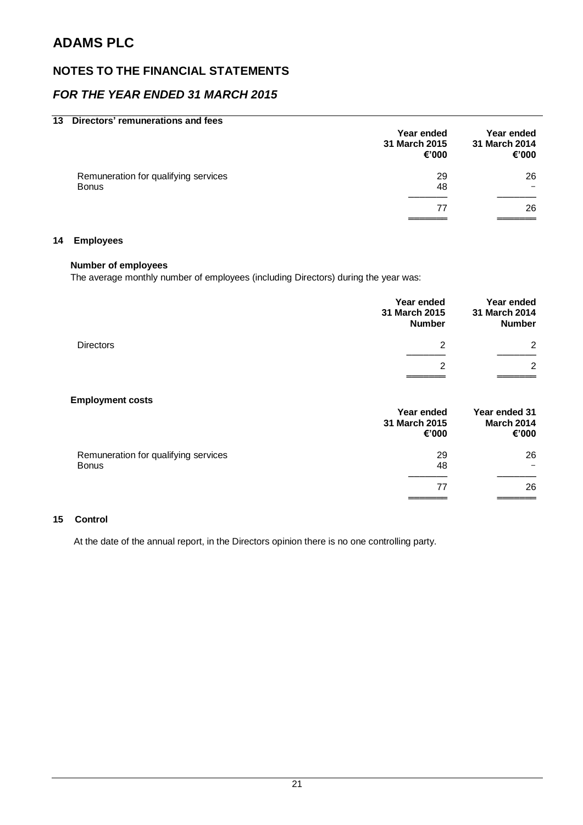### **NOTES TO THE FINANCIAL STATEMENTS**

### *FOR THE YEAR ENDED 31 MARCH 2015*

#### **13 Directors' remunerations and fees**

|                                      | Year ended<br>31 March 2015<br>€'000 | Year ended<br>31 March 2014<br>€'000 |
|--------------------------------------|--------------------------------------|--------------------------------------|
| Remuneration for qualifying services | 29                                   | 26                                   |
| <b>Bonus</b>                         | 48                                   |                                      |
|                                      | 77                                   | 26                                   |
|                                      |                                      |                                      |

### **14 Employees**

#### **Number of employees**

The average monthly number of employees (including Directors) during the year was:

|                  | Year ended<br>31 March 2015<br><b>Number</b> | Year ended<br>31 March 2014<br><b>Number</b> |
|------------------|----------------------------------------------|----------------------------------------------|
| <b>Directors</b> | 2                                            | 2                                            |
|                  |                                              |                                              |
|                  | 2                                            | 2                                            |
|                  |                                              |                                              |

#### **Employment costs**

|                                      | Year ended<br>31 March 2015<br>€'000 | Year ended 31<br><b>March 2014</b><br>€'000 |
|--------------------------------------|--------------------------------------|---------------------------------------------|
| Remuneration for qualifying services | 29                                   | 26                                          |
| <b>Bonus</b>                         | 48                                   |                                             |
|                                      | 77                                   | 26                                          |
|                                      |                                      |                                             |

#### **15 Control**

At the date of the annual report, in the Directors opinion there is no one controlling party.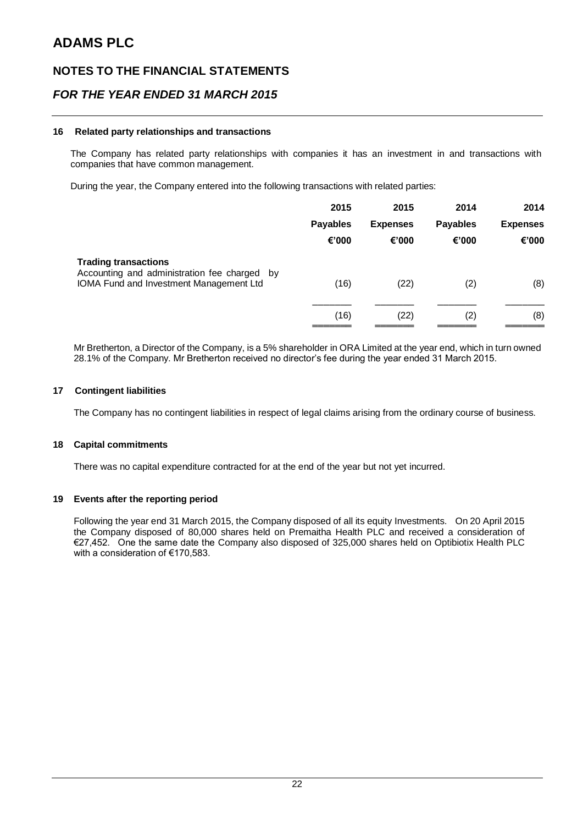### **NOTES TO THE FINANCIAL STATEMENTS**

### *FOR THE YEAR ENDED 31 MARCH 2015*

#### **16 Related party relationships and transactions**

The Company has related party relationships with companies it has an investment in and transactions with companies that have common management.

During the year, the Company entered into the following transactions with related parties:

|                                                                             | 2015            | 2015            | 2014            | 2014            |
|-----------------------------------------------------------------------------|-----------------|-----------------|-----------------|-----------------|
|                                                                             | <b>Payables</b> | <b>Expenses</b> | <b>Payables</b> | <b>Expenses</b> |
|                                                                             | €'000           | €'000           | €'000           | €'000           |
| <b>Trading transactions</b><br>Accounting and administration fee charged by |                 |                 |                 |                 |
| IOMA Fund and Investment Management Ltd                                     | (16)            | (22)            | (2)             | (8)             |
|                                                                             |                 |                 |                 |                 |
|                                                                             | (16)            | (22)            | (2)             | (8)             |

Mr Bretherton, a Director of the Company, is a 5% shareholder in ORA Limited at the year end, which in turn owned 28.1% of the Company. Mr Bretherton received no director's fee during the year ended 31 March 2015.

#### **17 Contingent liabilities**

The Company has no contingent liabilities in respect of legal claims arising from the ordinary course of business.

#### **18 Capital commitments**

There was no capital expenditure contracted for at the end of the year but not yet incurred.

#### **19 Events after the reporting period**

Following the year end 31 March 2015, the Company disposed of all its equity Investments. On 20 April 2015 the Company disposed of 80,000 shares held on Premaitha Health PLC and received a consideration of €27,452. One the same date the Company also disposed of 325,000 shares held on Optibiotix Health PLC with a consideration of €170,583.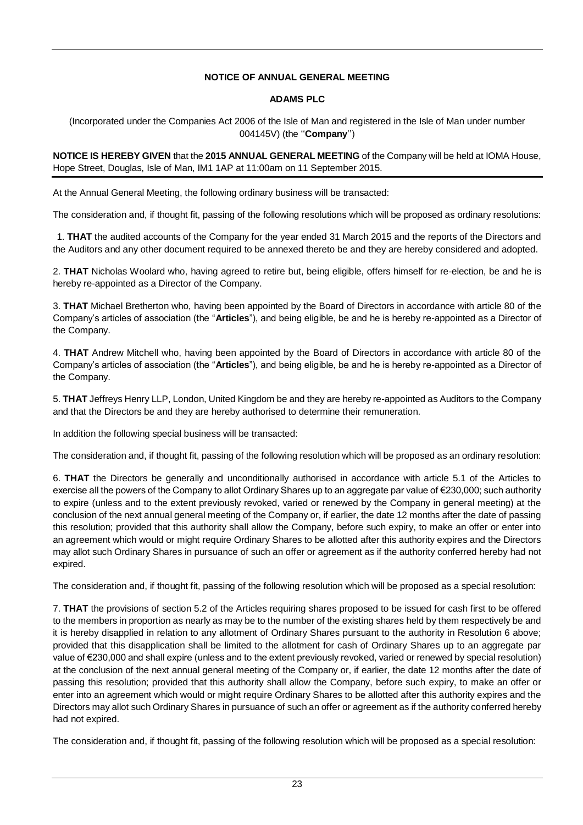### **NOTICE OF ANNUAL GENERAL MEETING**

#### **ADAMS PLC**

#### (Incorporated under the Companies Act 2006 of the Isle of Man and registered in the Isle of Man under number 004145V) (the ''**Company**'')

**NOTICE IS HEREBY GIVEN** that the **2015 ANNUAL GENERAL MEETING** of the Company will be held at IOMA House, Hope Street, Douglas, Isle of Man, IM1 1AP at 11:00am on 11 September 2015.

At the Annual General Meeting, the following ordinary business will be transacted:

The consideration and, if thought fit, passing of the following resolutions which will be proposed as ordinary resolutions:

1. **THAT** the audited accounts of the Company for the year ended 31 March 2015 and the reports of the Directors and the Auditors and any other document required to be annexed thereto be and they are hereby considered and adopted.

2. **THAT** Nicholas Woolard who, having agreed to retire but, being eligible, offers himself for re-election, be and he is hereby re-appointed as a Director of the Company.

3. **THAT** Michael Bretherton who, having been appointed by the Board of Directors in accordance with article 80 of the Company's articles of association (the "**Articles**"), and being eligible, be and he is hereby re-appointed as a Director of the Company.

4. **THAT** Andrew Mitchell who, having been appointed by the Board of Directors in accordance with article 80 of the Company's articles of association (the "**Articles**"), and being eligible, be and he is hereby re-appointed as a Director of the Company.

5. **THAT** Jeffreys Henry LLP, London, United Kingdom be and they are hereby re-appointed as Auditors to the Company and that the Directors be and they are hereby authorised to determine their remuneration.

In addition the following special business will be transacted:

The consideration and, if thought fit, passing of the following resolution which will be proposed as an ordinary resolution:

6. **THAT** the Directors be generally and unconditionally authorised in accordance with article 5.1 of the Articles to exercise all the powers of the Company to allot Ordinary Shares up to an aggregate par value of €230,000; such authority to expire (unless and to the extent previously revoked, varied or renewed by the Company in general meeting) at the conclusion of the next annual general meeting of the Company or, if earlier, the date 12 months after the date of passing this resolution; provided that this authority shall allow the Company, before such expiry, to make an offer or enter into an agreement which would or might require Ordinary Shares to be allotted after this authority expires and the Directors may allot such Ordinary Shares in pursuance of such an offer or agreement as if the authority conferred hereby had not expired.

The consideration and, if thought fit, passing of the following resolution which will be proposed as a special resolution:

7. **THAT** the provisions of section 5.2 of the Articles requiring shares proposed to be issued for cash first to be offered to the members in proportion as nearly as may be to the number of the existing shares held by them respectively be and it is hereby disapplied in relation to any allotment of Ordinary Shares pursuant to the authority in Resolution 6 above; provided that this disapplication shall be limited to the allotment for cash of Ordinary Shares up to an aggregate par value of €230,000 and shall expire (unless and to the extent previously revoked, varied or renewed by special resolution) at the conclusion of the next annual general meeting of the Company or, if earlier, the date 12 months after the date of passing this resolution; provided that this authority shall allow the Company, before such expiry, to make an offer or enter into an agreement which would or might require Ordinary Shares to be allotted after this authority expires and the Directors may allot such Ordinary Shares in pursuance of such an offer or agreement as if the authority conferred hereby had not expired.

The consideration and, if thought fit, passing of the following resolution which will be proposed as a special resolution: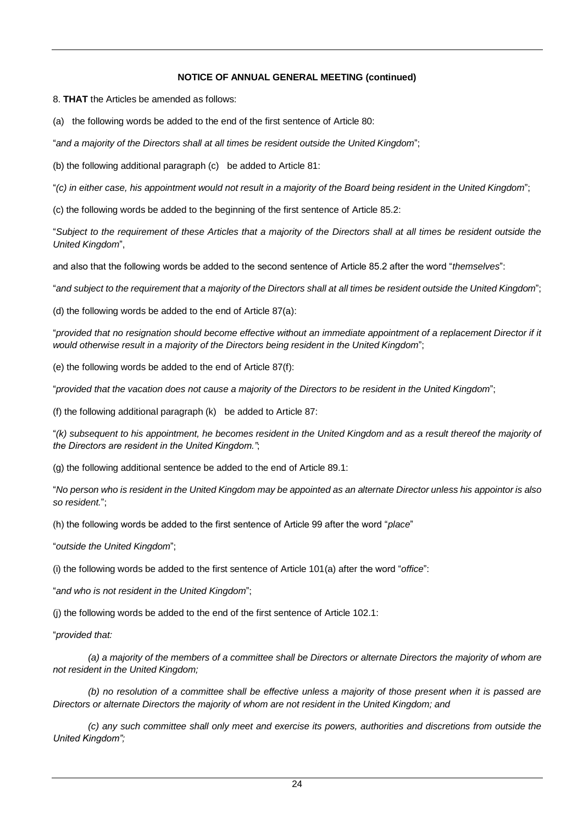#### **NOTICE OF ANNUAL GENERAL MEETING (continued)**

8. **THAT** the Articles be amended as follows:

(a) the following words be added to the end of the first sentence of Article 80:

"*and a majority of the Directors shall at all times be resident outside the United Kingdom*";

(b) the following additional paragraph (c) be added to Article 81:

"*(c) in either case, his appointment would not result in a majority of the Board being resident in the United Kingdom*";

(c) the following words be added to the beginning of the first sentence of Article 85.2:

"*Subject to the requirement of these Articles that a majority of the Directors shall at all times be resident outside the United Kingdom*",

and also that the following words be added to the second sentence of Article 85.2 after the word "*themselves*":

"*and subject to the requirement that a majority of the Directors shall at all times be resident outside the United Kingdom*";

(d) the following words be added to the end of Article 87(a):

"*provided that no resignation should become effective without an immediate appointment of a replacement Director if it would otherwise result in a majority of the Directors being resident in the United Kingdom*";

(e) the following words be added to the end of Article 87(f):

"*provided that the vacation does not cause a majority of the Directors to be resident in the United Kingdom*";

(f) the following additional paragraph (k) be added to Article 87:

"*(k) subsequent to his appointment, he becomes resident in the United Kingdom and as a result thereof the majority of the Directors are resident in the United Kingdom."*;

(g) the following additional sentence be added to the end of Article 89.1:

"*No person who is resident in the United Kingdom may be appointed as an alternate Director unless his appointor is also so resident.*";

(h) the following words be added to the first sentence of Article 99 after the word "*place*"

"*outside the United Kingdom*";

(i) the following words be added to the first sentence of Article 101(a) after the word "*office*":

"*and who is not resident in the United Kingdom*";

(j) the following words be added to the end of the first sentence of Article 102.1:

"*provided that:* 

*(a) a majority of the members of a committee shall be Directors or alternate Directors the majority of whom are not resident in the United Kingdom;* 

*(b) no resolution of a committee shall be effective unless a majority of those present when it is passed are Directors or alternate Directors the majority of whom are not resident in the United Kingdom; and* 

*(c) any such committee shall only meet and exercise its powers, authorities and discretions from outside the United Kingdom";*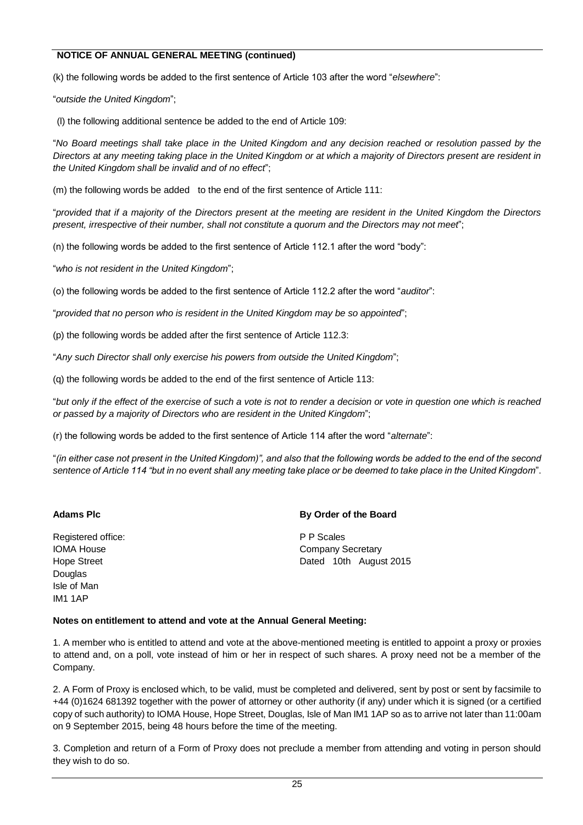#### **NOTICE OF ANNUAL GENERAL MEETING (continued)**

(k) the following words be added to the first sentence of Article 103 after the word "*elsewhere*":

"*outside the United Kingdom*";

(l) the following additional sentence be added to the end of Article 109:

"*No Board meetings shall take place in the United Kingdom and any decision reached or resolution passed by the Directors at any meeting taking place in the United Kingdom or at which a majority of Directors present are resident in the United Kingdom shall be invalid and of no effect*";

(m) the following words be added to the end of the first sentence of Article 111:

"*provided that if a majority of the Directors present at the meeting are resident in the United Kingdom the Directors present, irrespective of their number, shall not constitute a quorum and the Directors may not meet*";

(n) the following words be added to the first sentence of Article 112.1 after the word "body":

"*who is not resident in the United Kingdom*";

(o) the following words be added to the first sentence of Article 112.2 after the word "*auditor*":

"*provided that no person who is resident in the United Kingdom may be so appointed*";

(p) the following words be added after the first sentence of Article 112.3:

"*Any such Director shall only exercise his powers from outside the United Kingdom*";

(q) the following words be added to the end of the first sentence of Article 113:

"*but only if the effect of the exercise of such a vote is not to render a decision or vote in question one which is reached or passed by a majority of Directors who are resident in the United Kingdom*";

(r) the following words be added to the first sentence of Article 114 after the word "*alternate*":

"*(in either case not present in the United Kingdom)", and also that the following words be added to the end of the second sentence of Article 114 "but in no event shall any meeting take place or be deemed to take place in the United Kingdom*".

Registered office: P P Scales Douglas Isle of Man IM1 1AP

#### **Adams Plc By Order of the Board**

IOMA House **Company Secretary** Hope Street **Dated 10th August 2015** 

#### **Notes on entitlement to attend and vote at the Annual General Meeting:**

1. A member who is entitled to attend and vote at the above-mentioned meeting is entitled to appoint a proxy or proxies to attend and, on a poll, vote instead of him or her in respect of such shares. A proxy need not be a member of the Company.

2. A Form of Proxy is enclosed which, to be valid, must be completed and delivered, sent by post or sent by facsimile to +44 (0)1624 681392 together with the power of attorney or other authority (if any) under which it is signed (or a certified copy of such authority) to IOMA House, Hope Street, Douglas, Isle of Man IM1 1AP so as to arrive not later than 11:00am on 9 September 2015, being 48 hours before the time of the meeting.

3. Completion and return of a Form of Proxy does not preclude a member from attending and voting in person should they wish to do so.